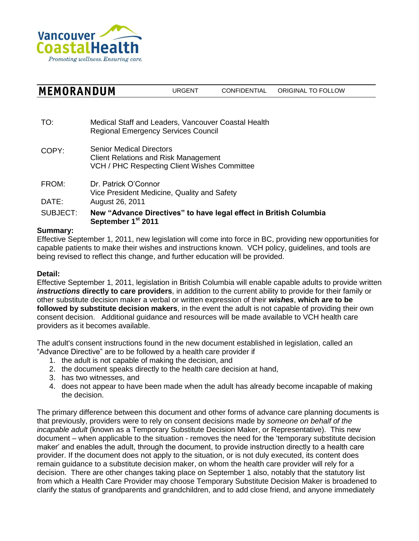

| <b>MEMORANDUM</b> | URGENT | CONFIDENTIAL | ORIGINAL TO FOLLOW |
|-------------------|--------|--------------|--------------------|
|-------------------|--------|--------------|--------------------|

TO: Medical Staff and Leaders, Vancouver Coastal Health Regional Emergency Services Council

COPY: Senior Medical Directors Client Relations and Risk Management VCH / PHC Respecting Client Wishes Committee

FROM: Dr. Patrick O'Connor Vice President Medicine, Quality and Safety DATE: August 26, 2011

SUBJECT: **New "Advance Directives" to have legal effect in British Columbia September 1st 2011**

## **Summary:**

Effective September 1, 2011, new legislation will come into force in BC, providing new opportunities for capable patients to make their wishes and instructions known. VCH policy, guidelines, and tools are being revised to reflect this change, and further education will be provided.

## **Detail:**

Effective September 1, 2011, legislation in British Columbia will enable capable adults to provide written *instructions* **directly to care providers**, in addition to the current ability to provide for their family or other substitute decision maker a verbal or written expression of their *wishes*, **which are to be followed by substitute decision makers**, in the event the adult is not capable of providing their own consent decision. Additional guidance and resources will be made available to VCH health care providers as it becomes available.

The adult's consent instructions found in the new document established in legislation, called an "Advance Directive" are to be followed by a health care provider if

- 1. the adult is not capable of making the decision, and
- 2. the document speaks directly to the health care decision at hand,
- 3. has two witnesses, and
- 4. does not appear to have been made when the adult has already become incapable of making the decision.

The primary difference between this document and other forms of advance care planning documents is that previously, providers were to rely on consent decisions made by *someone on behalf of the incapable adult* (known as a Temporary Substitute Decision Maker, or Representative). This new document – when applicable to the situation - removes the need for the 'temporary substitute decision maker' and enables the adult, through the document, to provide instruction directly to a health care provider. If the document does not apply to the situation, or is not duly executed, its content does remain guidance to a substitute decision maker, on whom the health care provider will rely for a decision. There are other changes taking place on September 1 also, notably that the statutory list from which a Health Care Provider may choose Temporary Substitute Decision Maker is broadened to clarify the status of grandparents and grandchildren, and to add close friend, and anyone immediately